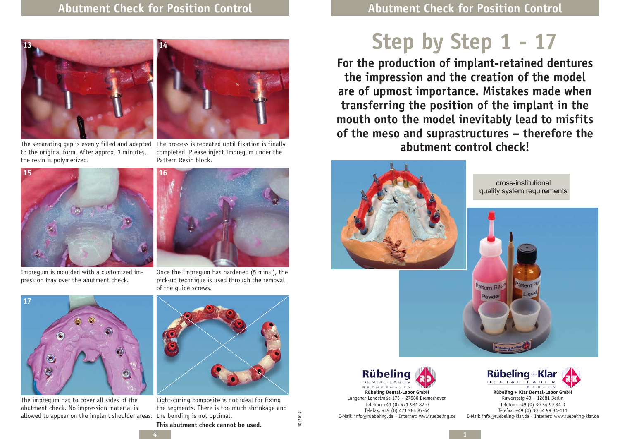**Step by Step 1 - 17**

**For the production of implant-retained dentures the impression and the creation of the model are of upmost importance. Mistakes made when transferring the position of the implant in the mouth onto the model inevitably lead to misfits of the meso and suprastructures – therefore the abutment control check!**



The separating gap is evenly filled and adapted to the original form. After approx. 3 minutes, the resin is polymerized.



Impregum is moulded with a customized impression tray over the abutment check.



The process is repeated until fixation is finally completed. Please inject Impregum under the Pattern Resin block.



Once the Impregum has hardened (5 mins.), the pick-up technique is used through the removal of the guide screws.



The impregum has to cover all sides of the abutment check. No impression material is allowed to appear on the implant shoulder areas. the bonding is not optimal.



Light-curing composite is not ideal for fixing the segments. There is too much shrinkage and

10/2014









Langener Landstraße 173 · 27580 Bremerhaven Telefon: +49 (0) 471 984 87-0 Telefax: +49 (0) 471 984 87-44 E-Mail: info@ruebeling.de · Internet: www.ruebeling.de



**Rübeling + Klar Dental-Labor GmbH** Ruwersteig 43 · 12681 Berlin Telefon: +49 (0) 30 54 99 34-0 Telefax: +49 (0) 30 54 99 34-111 E-Mail: info@ruebeling-klar.de · Internet: www.ruebeling-klar.de